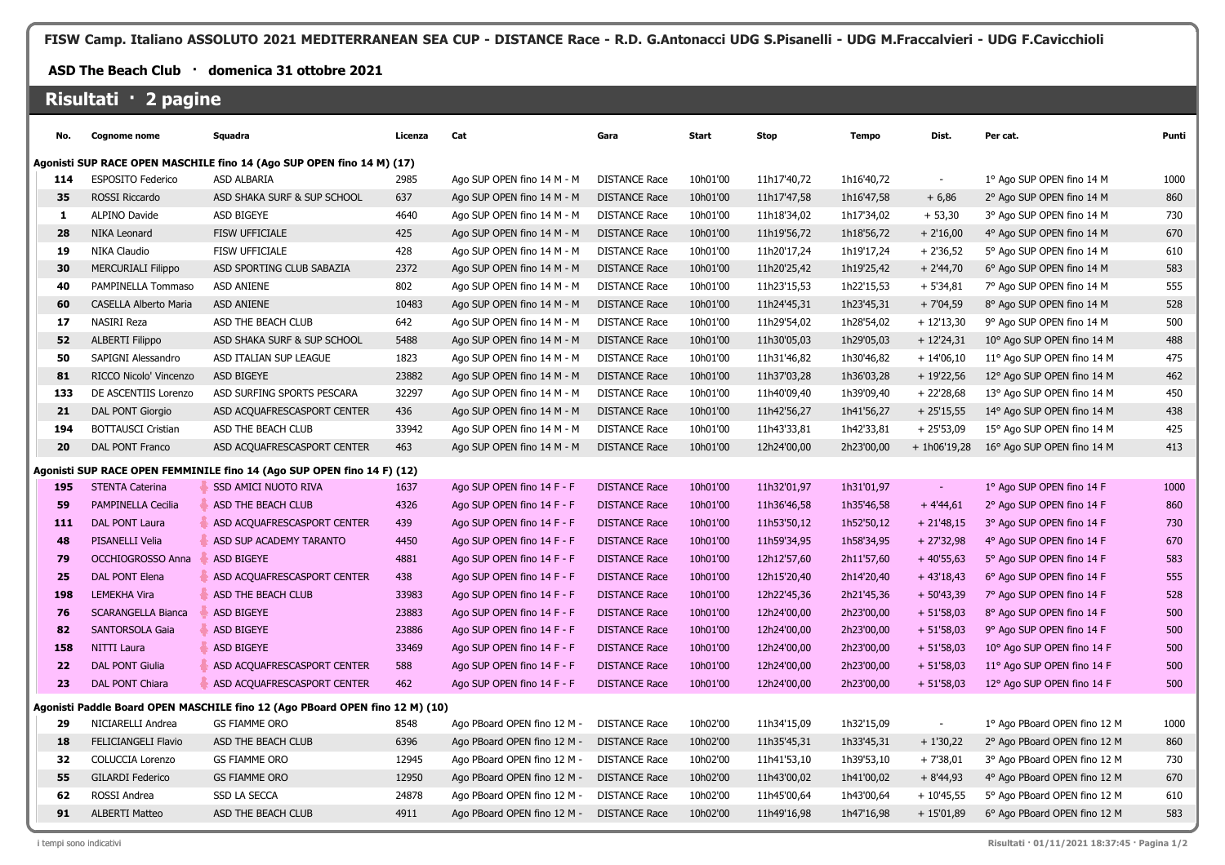**FISW Camp. Italiano ASSOLUTO 2021 MEDITERRANEAN SEA CUP - DISTANCE Race - R.D. G.Antonacci UDG S.Pisanelli - UDG M.Fraccalvieri - UDG F.Cavicchioli**

## **ASD The Beach Club · domenica 31 ottobre 2021**

## **Risultati · 2 pagine**

| No.                                                                   | <b>Cognome nome</b>                                                    | Squadra                                                                      | Licenza | Cat                         | Gara                 | Start    | <b>Stop</b> | <b>Tempo</b> | Dist.                    | Per cat.                     | Punti |
|-----------------------------------------------------------------------|------------------------------------------------------------------------|------------------------------------------------------------------------------|---------|-----------------------------|----------------------|----------|-------------|--------------|--------------------------|------------------------------|-------|
| Agonisti SUP RACE OPEN MASCHILE fino 14 (Ago SUP OPEN fino 14 M) (17) |                                                                        |                                                                              |         |                             |                      |          |             |              |                          |                              |       |
| 114                                                                   | <b>ESPOSITO Federico</b>                                               | ASD ALBARIA                                                                  | 2985    | Ago SUP OPEN fino 14 M - M  | <b>DISTANCE Race</b> | 10h01'00 | 11h17'40,72 | 1h16'40,72   |                          | 1º Ago SUP OPEN fino 14 M    | 1000  |
| 35                                                                    | ROSSI Riccardo                                                         | ASD SHAKA SURF & SUP SCHOOL                                                  | 637     | Ago SUP OPEN fino 14 M - M  | <b>DISTANCE Race</b> | 10h01'00 | 11h17'47,58 | 1h16'47,58   | $+6,86$                  | 2° Ago SUP OPEN fino 14 M    | 860   |
| 1                                                                     | ALPINO Davide                                                          | ASD BIGEYE                                                                   | 4640    | Ago SUP OPEN fino 14 M - M  | <b>DISTANCE Race</b> | 10h01'00 | 11h18'34,02 | 1h17'34,02   | $+53,30$                 | 3° Ago SUP OPEN fino 14 M    | 730   |
| 28                                                                    | <b>NIKA Leonard</b>                                                    | <b>FISW UFFICIALE</b>                                                        | 425     | Ago SUP OPEN fino 14 M - M  | <b>DISTANCE Race</b> | 10h01'00 | 11h19'56,72 | 1h18'56,72   | $+2'16,00$               | 4° Ago SUP OPEN fino 14 M    | 670   |
| 19                                                                    | NIKA Claudio                                                           | <b>FISW UFFICIALE</b>                                                        | 428     | Ago SUP OPEN fino 14 M - M  | <b>DISTANCE Race</b> | 10h01'00 | 11h20'17,24 | 1h19'17,24   | $+2'36,52$               | 5° Ago SUP OPEN fino 14 M    | 610   |
| 30                                                                    | <b>MERCURIALI Filippo</b>                                              | ASD SPORTING CLUB SABAZIA                                                    | 2372    | Ago SUP OPEN fino 14 M - M  | <b>DISTANCE Race</b> | 10h01'00 | 11h20'25,42 | 1h19'25,42   | $+ 2'44,70$              | 6° Ago SUP OPEN fino 14 M    | 583   |
| 40                                                                    | PAMPINELLA Tommaso                                                     | <b>ASD ANIENE</b>                                                            | 802     | Ago SUP OPEN fino 14 M - M  | <b>DISTANCE Race</b> | 10h01'00 | 11h23'15,53 | 1h22'15,53   | $+5'34,81$               | 7° Ago SUP OPEN fino 14 M    | 555   |
| 60                                                                    | <b>CASELLA Alberto Maria</b>                                           | <b>ASD ANIENE</b>                                                            | 10483   | Ago SUP OPEN fino 14 M - M  | <b>DISTANCE Race</b> | 10h01'00 | 11h24'45,31 | 1h23'45,31   | $+7'04,59$               | 8° Ago SUP OPEN fino 14 M    | 528   |
| 17                                                                    | NASIRI Reza                                                            | ASD THE BEACH CLUB                                                           | 642     | Ago SUP OPEN fino 14 M - M  | <b>DISTANCE Race</b> | 10h01'00 | 11h29'54,02 | 1h28'54,02   | $+12'13,30$              | 9° Ago SUP OPEN fino 14 M    | 500   |
| 52                                                                    | <b>ALBERTI Filippo</b>                                                 | ASD SHAKA SURF & SUP SCHOOL                                                  | 5488    | Ago SUP OPEN fino 14 M - M  | <b>DISTANCE Race</b> | 10h01'00 | 11h30'05,03 | 1h29'05,03   | $+12'24,31$              | 10° Ago SUP OPEN fino 14 M   | 488   |
| 50                                                                    | SAPIGNI Alessandro                                                     | ASD ITALIAN SUP LEAGUE                                                       | 1823    | Ago SUP OPEN fino 14 M - M  | <b>DISTANCE Race</b> | 10h01'00 | 11h31'46,82 | 1h30'46,82   | $+14'06,10$              | 11° Ago SUP OPEN fino 14 M   | 475   |
| 81                                                                    | RICCO Nicolo' Vincenzo                                                 | ASD BIGEYE                                                                   | 23882   | Ago SUP OPEN fino 14 M - M  | <b>DISTANCE Race</b> | 10h01'00 | 11h37'03,28 | 1h36'03,28   | $+19'22,56$              | 12° Ago SUP OPEN fino 14 M   | 462   |
| 133                                                                   | DE ASCENTIIS Lorenzo                                                   | ASD SURFING SPORTS PESCARA                                                   | 32297   | Ago SUP OPEN fino 14 M - M  | <b>DISTANCE Race</b> | 10h01'00 | 11h40'09,40 | 1h39'09,40   | $+22'28,68$              | 13° Ago SUP OPEN fino 14 M   | 450   |
| 21                                                                    | DAL PONT Giorgio                                                       | ASD ACQUAFRESCASPORT CENTER                                                  | 436     | Ago SUP OPEN fino 14 M - M  | <b>DISTANCE Race</b> | 10h01'00 | 11h42'56,27 | 1h41'56,27   | $+25'15,55$              | 14° Ago SUP OPEN fino 14 M   | 438   |
| 194                                                                   | <b>BOTTAUSCI Cristian</b>                                              | ASD THE BEACH CLUB                                                           | 33942   | Ago SUP OPEN fino 14 M - M  | <b>DISTANCE Race</b> | 10h01'00 | 11h43'33,81 | 1h42'33,81   | $+25'53,09$              | 15° Ago SUP OPEN fino 14 M   | 425   |
| 20                                                                    | DAL PONT Franco                                                        | ASD ACQUAFRESCASPORT CENTER                                                  | 463     | Ago SUP OPEN fino 14 M - M  | <b>DISTANCE Race</b> | 10h01'00 | 12h24'00,00 | 2h23'00,00   | $+ 1h06'19.28$           | 16° Ago SUP OPEN fino 14 M   | 413   |
|                                                                       | Agonisti SUP RACE OPEN FEMMINILE fino 14 (Ago SUP OPEN fino 14 F) (12) |                                                                              |         |                             |                      |          |             |              |                          |                              |       |
| 195                                                                   | <b>STENTA Caterina</b>                                                 | <b>SSD AMICI NUOTO RIVA</b>                                                  | 1637    | Ago SUP OPEN fino 14 F - F  | <b>DISTANCE Race</b> | 10h01'00 | 11h32'01,97 | 1h31'01,97   | $\sim$                   | 1º Ago SUP OPEN fino 14 F    | 1000  |
| 59                                                                    | PAMPINELLA Cecilia                                                     | ASD THE BEACH CLUB                                                           | 4326    | Ago SUP OPEN fino 14 F - F  | <b>DISTANCE Race</b> | 10h01'00 | 11h36'46,58 | 1h35'46,58   | $+4'44,61$               | 2° Ago SUP OPEN fino 14 F    | 860   |
| 111                                                                   | DAL PONT Laura                                                         | ASD ACQUAFRESCASPORT CENTER                                                  | 439     | Ago SUP OPEN fino 14 F - F  | <b>DISTANCE Race</b> | 10h01'00 | 11h53'50,12 | 1h52'50,12   | $+21'48,15$              | 3° Ago SUP OPEN fino 14 F    | 730   |
| 48                                                                    | <b>PISANELLI Velia</b>                                                 | ASD SUP ACADEMY TARANTO                                                      | 4450    | Ago SUP OPEN fino 14 F - F  | <b>DISTANCE Race</b> | 10h01'00 | 11h59'34,95 | 1h58'34,95   | $+27'32,98$              | 4° Ago SUP OPEN fino 14 F    | 670   |
| 79                                                                    | OCCHIOGROSSO Anna                                                      | ASD BIGEYE                                                                   | 4881    | Ago SUP OPEN fino 14 F - F  | <b>DISTANCE Race</b> | 10h01'00 | 12h12'57,60 | 2h11'57,60   | $+40'55,63$              | 5° Ago SUP OPEN fino 14 F    | 583   |
| 25                                                                    | DAL PONT Elena                                                         | ASD ACQUAFRESCASPORT CENTER                                                  | 438     | Ago SUP OPEN fino 14 F - F  | <b>DISTANCE Race</b> | 10h01'00 | 12h15'20,40 | 2h14'20,40   | $+43'18,43$              | 6° Ago SUP OPEN fino 14 F    | 555   |
| 198                                                                   | <b>LEMEKHA Vira</b>                                                    | ASD THE BEACH CLUB                                                           | 33983   | Ago SUP OPEN fino 14 F - F  | <b>DISTANCE Race</b> | 10h01'00 | 12h22'45,36 | 2h21'45,36   | $+50'43,39$              | 7° Ago SUP OPEN fino 14 F    | 528   |
| 76                                                                    | <b>SCARANGELLA Bianca</b>                                              | ASD BIGEYE                                                                   | 23883   | Ago SUP OPEN fino 14 F - F  | <b>DISTANCE Race</b> | 10h01'00 | 12h24'00,00 | 2h23'00,00   | $+ 51'58,03$             | 8° Ago SUP OPEN fino 14 F    | 500   |
| 82                                                                    | <b>SANTORSOLA Gaia</b>                                                 | ASD BIGEYE                                                                   | 23886   | Ago SUP OPEN fino 14 F - F  | <b>DISTANCE Race</b> | 10h01'00 | 12h24'00,00 | 2h23'00,00   | $+51'58,03$              | 9° Ago SUP OPEN fino 14 F    | 500   |
| 158                                                                   | <b>NITTI Laura</b>                                                     | <b>ASD BIGEYE</b>                                                            | 33469   | Ago SUP OPEN fino 14 F - F  | <b>DISTANCE Race</b> | 10h01'00 | 12h24'00,00 | 2h23'00,00   | $+ 51'58,03$             | 10° Ago SUP OPEN fino 14 F   | 500   |
| 22                                                                    | <b>DAL PONT Giulia</b>                                                 | ASD ACQUAFRESCASPORT CENTER                                                  | 588     | Ago SUP OPEN fino 14 F - F  | <b>DISTANCE Race</b> | 10h01'00 | 12h24'00,00 | 2h23'00,00   | $+51'58,03$              | 11° Ago SUP OPEN fino 14 F   | 500   |
| 23                                                                    | DAL PONT Chiara                                                        | ASD ACQUAFRESCASPORT CENTER                                                  | 462     | Ago SUP OPEN fino 14 F - F  | <b>DISTANCE Race</b> | 10h01'00 | 12h24'00,00 | 2h23'00,00   | $+ 51'58,03$             | 12° Ago SUP OPEN fino 14 F   | 500   |
|                                                                       |                                                                        | Agonisti Paddle Board OPEN MASCHILE fino 12 (Ago PBoard OPEN fino 12 M) (10) |         |                             |                      |          |             |              |                          |                              |       |
| 29                                                                    | NICIARELLI Andrea                                                      | <b>GS FIAMME ORO</b>                                                         | 8548    | Ago PBoard OPEN fino 12 M - | <b>DISTANCE Race</b> | 10h02'00 | 11h34'15,09 | 1h32'15,09   | $\overline{\phantom{a}}$ | 1º Ago PBoard OPEN fino 12 M | 1000  |
| 18                                                                    | <b>FELICIANGELI Flavio</b>                                             | ASD THE BEACH CLUB                                                           | 6396    | Ago PBoard OPEN fino 12 M - | <b>DISTANCE Race</b> | 10h02'00 | 11h35'45,31 | 1h33'45,31   | $+1'30,22$               | 2° Ago PBoard OPEN fino 12 M | 860   |
| 32                                                                    | <b>COLUCCIA Lorenzo</b>                                                | <b>GS FIAMME ORO</b>                                                         | 12945   | Ago PBoard OPEN fino 12 M - | <b>DISTANCE Race</b> | 10h02'00 | 11h41'53,10 | 1h39'53,10   | $+7'38,01$               | 3° Ago PBoard OPEN fino 12 M | 730   |
| 55                                                                    | <b>GILARDI Federico</b>                                                | <b>GS FIAMME ORO</b>                                                         | 12950   | Ago PBoard OPEN fino 12 M - | <b>DISTANCE Race</b> | 10h02'00 | 11h43'00,02 | 1h41'00,02   | $+8'44,93$               | 4° Ago PBoard OPEN fino 12 M | 670   |
| 62                                                                    | ROSSI Andrea                                                           | <b>SSD LA SECCA</b>                                                          | 24878   | Ago PBoard OPEN fino 12 M - | <b>DISTANCE Race</b> | 10h02'00 | 11h45'00,64 | 1h43'00,64   | $+10'45,55$              | 5° Ago PBoard OPEN fino 12 M | 610   |
| 91                                                                    | <b>ALBERTI Matteo</b>                                                  | ASD THE BEACH CLUB                                                           | 4911    | Ago PBoard OPEN fino 12 M - | <b>DISTANCE Race</b> | 10h02'00 | 11h49'16,98 | 1h47'16,98   | $+15'01,89$              | 6° Ago PBoard OPEN fino 12 M | 583   |
|                                                                       |                                                                        |                                                                              |         |                             |                      |          |             |              |                          |                              |       |